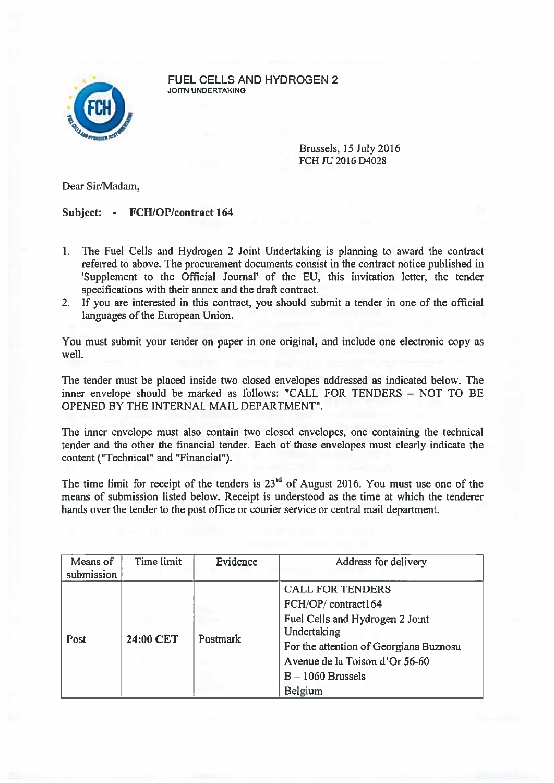

FUEL CELLS AND HYDROGEN 2 JOITN UNDERTAKING

> Brussels, 15 July2016 FCH JU 2016 D4028

Dear Sir/Madam,

## Subject: - FCH/OP/contract 164

- 1. The Fuel Cells and Hydrogen 2 Joint Undertaking is planning to award the contract referred to above. The procuremen<sup>t</sup> documents consist in the contract notice published in 'Supplement to the Official Journal' of the EU, this invitation letter, the tender specifications with their annex and the draft contract.
- 2. If you are interested in this contract, you should submit <sup>a</sup> tender in one of the official languages of the European Union.

You must submit your tender on paper in one original, and include one electronic copy as well.

The tender must be placed inside two closed envelopes addressed as indicated below. The inner envelope should be marked as follows: "CALL FOR TENDERS — NOT TO BE OPENED BY THE INTERNAL MAIL DEPARTMENT".

The inner envelope must also contain two closed envelopes, one containing the technical tender and the other the financial tender. Each of these envelopes must clearly indicate the content ("Technical" and "Financial").

The time limit for receipt of the tenders is  $23<sup>rd</sup>$  of August 2016. You must use one of the means of submission listed below. Receipt is understood as the time at which the tenderer hands over the tender to the pos<sup>t</sup> office or courier service or central mail department.

| Means of<br>submission | Time limit | Evidence | Address for delivery                                                                                                                                                                                          |
|------------------------|------------|----------|---------------------------------------------------------------------------------------------------------------------------------------------------------------------------------------------------------------|
| Post                   | 24:00 CET  | Postmark | <b>CALL FOR TENDERS</b><br>FCH/OP/contract164<br>Fuel Cells and Hydrogen 2 Joint<br>Undertaking<br>For the attention of Georgiana Buznosu<br>Avenue de la Toison d'Or 56-60<br>$B - 1060$ Brussels<br>Belgium |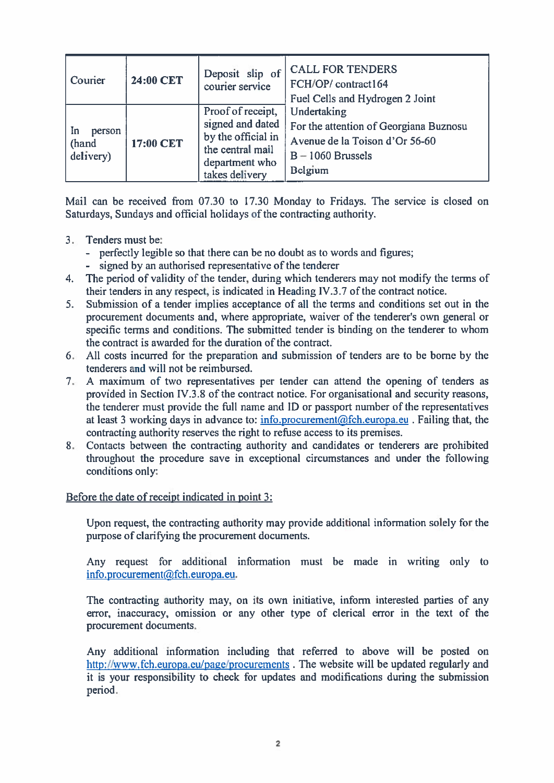| Courier                            | 24:00 CET | Deposit slip of<br>courier service                                                                                  | <b>CALL FOR TENDERS</b><br>FCH/OP/contract164<br>Fuel Cells and Hydrogen 2 Joint                                          |
|------------------------------------|-----------|---------------------------------------------------------------------------------------------------------------------|---------------------------------------------------------------------------------------------------------------------------|
| In<br>person<br>(hand<br>delivery) | 17:00 CET | Proof of receipt,<br>signed and dated<br>by the official in<br>the central mail<br>department who<br>takes delivery | Undertaking<br>For the attention of Georgiana Buznosu<br>Avenue de la Toison d'Or 56-60<br>$B - 1060$ Brussels<br>Belgium |

Mail can be received from 07.30 to 17.30 Monday to Fridays. The service is closed on Saturdays, Sundays and official holidays of the contracting authority.

- 3. Tenders must be:
	- perfectly legible so that there can be no doubt as to words and figures;
	- signed by an authorised representative of the tenderer
- 4. The period of validity of the tender, during which tenderers may not modify the terms of their tenders in any respect, is indicated in Heading IV.3.7 of the contract notice.
- 5. Submission of <sup>a</sup> tender implies acceptance of all the terms and conditions set out in the procuremen<sup>t</sup> documents and, where appropriate, waiver of the tenderer's own general or specific terms and conditions. The submitted tender is binding on the tenderer to whom the contract is awarded for the duration of the contract.
- 6. All costs incurred for the preparation and submission of tenders are to be borne by the tenderers and will not be reimbursed.
- 7. A maximum of two representatives per tender can attend the opening of tenders as provided in Section IV.3.8 of the contract notice. For organisational and security reasons, the tenderer must provide the full name and ID or passport number of the representatives at least 3 working days in advance to: <u>info.procurement@fch.europa.eu</u> . Failing that, the contracting authority reserves the right to refuse access to its premises.
- 8. Contacts between the contracting authority and candidates or tenderers are prohibited throughout the procedure save in exceptional circumstances and under the following conditions only:

## Before the date of receipt indicated in point 3

Upon request, the contracting authority may provide additional information solely for the purpose of clarifying the procuremen<sup>t</sup> documents.

Any reques<sup>t</sup> for additional information must be made in writing only to info.procurement@fch.europa.eu.

The contracting authority may, on its own initiative, inform interested parties of any error, inaccuracy, omission or any other type of clerical error in the text of the procuremen<sup>t</sup> documents.

Any additional information including that referred to above will be posted on http://www.fch.europa.eu/page/procurements. The website will be updated regularly and it is your responsibility to check for updates and modifications during the submission period.